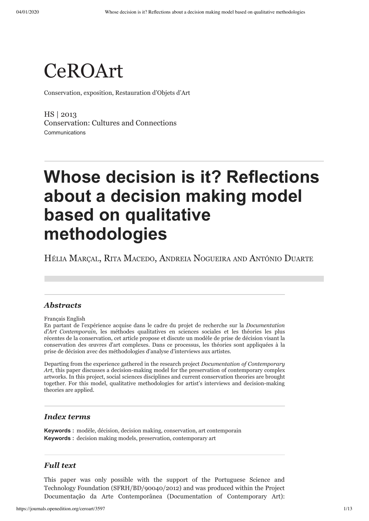

Conservation, exposition, Restauration d'Objets d'Art

HS | 2013 [Conservation: Cultures and Connections](https://journals.openedition.org/ceroart/3508) Communications

# **Whose decision is it? Reflections about a decision making model based on qualitative methodologies**

HÉLIA MARÇAL, RITA MACEDO, ANDREIA NOGUEIRA AND ANTÓNIO DUARTE

### *Abstracts*

[Français](#page-0-0) [English](#page-0-1)

<span id="page-0-0"></span>En partant de l'expérience acquise dans le cadre du projet de recherche sur la *Documentation d'Art Contemporain*, les méthodes qualitatives en sciences sociales et les théories les plus récentes de la conservation, cet article propose et discute un modèle de prise de décision visant la conservation des œuvres d'art complexes. Dans ce processus, les théories sont appliquées à la prise de décision avec des méthodologies d'analyse d'interviews aux artistes.

<span id="page-0-1"></span>Departing from the experience gathered in the research project *Documentation of Contemporary Art*, this paper discusses a decision-making model for the preservation of contemporary complex artworks. In this project, social sciences disciplines and current conservation theories are brought together. For this model, qualitative methodologies for artist's interviews and decision-making theories are applied.

#### *Index terms*

**Keywords :** [modèle,](https://journals.openedition.org/ceroart/3599) [décision,](https://journals.openedition.org/ceroart/3600) [decision making,](https://journals.openedition.org/ceroart/3601) [conservation,](https://journals.openedition.org/ceroart/270) [art contemporain](https://journals.openedition.org/ceroart/126) **Keywords :** [decision making models](https://journals.openedition.org/ceroart/3598), [preservation](https://journals.openedition.org/ceroart/806), [contemporary art](https://journals.openedition.org/ceroart/846)

#### *Full text*

This paper was only possible with the support of the Portuguese Science and Technology Foundation ([SFRH/BD/90040/2012](https://www.fct.mctes.pt/fctsig/contents/d11/publicacaoResultados.asp?id=%7B805D2104-B62E-4FBE-BBE8-948E65F2C66F%7D)) and was produced within the Project Documentação da Arte Contemporânea (Documentation of Contemporary Art):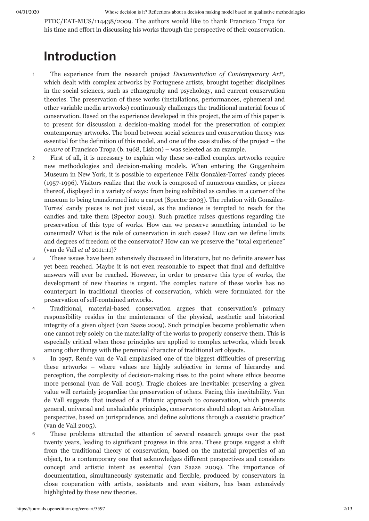PTDC/EAT-MUS/114438/2009. The authors would like to thank Francisco Tropa for his time and effort in discussing his works through the perspective of their conservation.

## <span id="page-1-0"></span>**Introduction**

- The experience from the research project *Documentation of Contemporary Art* [1](#page-11-0) *,* which dealt with complex artworks by Portuguese artists, brought together disciplines in the social sciences, such as ethnography and psychology, and current conservation theories. The preservation of these works (installations, performances, ephemeral and other variable media artworks) continuously challenges the traditional material focus of conservation. Based on the experience developed in this project, the aim of this paper is to present for discussion a decision-making model for the preservation of complex contemporary artworks. The bond between social sciences and conservation theory was essential for the definition of this model, and one of the case studies of the project – the *oeuvre* of Francisco Tropa (b. 1968, Lisbon) – was selected as an example. 1
- First of all, it is necessary to explain why these so-called complex artworks require new methodologies and decision-making models. When entering the Guggenheim Museum in New York, it is possible to experience Félix González-Torres' candy pieces (1957-1996). Visitors realize that the work is composed of numerous candies, or pieces thereof, displayed in a variety of ways: from being exhibited as candies in a corner of the museum to being transformed into a carpet (Spector 2003). The relation with González-Torres' candy pieces is not just visual, as the audience is tempted to reach for the candies and take them (Spector 2003). Such practice raises questions regarding the preservation of this type of works. How can we preserve something intended to be consumed? What is the role of conservation in such cases? How can we define limits and degrees of freedom of the conservator? How can we preserve the "total experience" (van de Vall *et al* 2011:11)? 2
- These issues have been extensively discussed in literature, but no definite answer has yet been reached. Maybe it is not even reasonable to expect that final and definitive answers will ever be reached. However, in order to preserve this type of works, the development of new theories is urgent. The complex nature of these works has no counterpart in traditional theories of conservation, which were formulated for the preservation of self-contained artworks. 3
- Traditional, material-based conservation argues that conservation's primary responsibility resides in the maintenance of the physical, aesthetic and historical integrity of a given object (van Saaze 2009). Such principles become problematic when one cannot rely solely on the materiality of the works to properly conserve them. This is especially critical when those principles are applied to complex artworks, which break among other things with the perennial character of traditional art objects. 4
- In 1997, Renée van de Vall emphasised one of the biggest difficulties of preserving these artworks – where values are highly subjective in terms of hierarchy and perception, the complexity of decision-making rises to the point where ethics become more personal (van de Vall 2005). Tragic choices are inevitable: preserving a given value will certainly jeopardise the preservation of others. Facing this inevitability. Van de Vall suggests that instead of a Platonic approach to conservation, which presents general, universal and unshakable principles, conservators should adopt an Aristotelian perspective, based on jurisprudence, and define solutions through a casuistic practice [2](#page-11-1) (van de Vall 2005). 5
- <span id="page-1-1"></span>These problems attracted the attention of several research groups over the past twenty years, leading to significant progress in this area. These groups suggest a shift from the traditional theory of conservation, based on the material properties of an object, to a contemporary one that acknowledges different perspectives and considers concept and artistic intent as essential (van Saaze 2009). The importance of documentation, simultaneously systematic and flexible, produced by conservators in close cooperation with artists, assistants and even visitors, has been extensively highlighted by these new theories. 6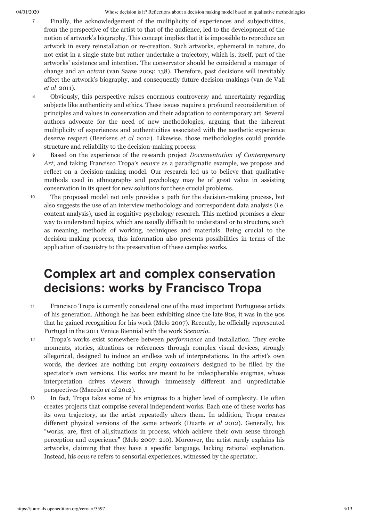- Finally, the acknowledgement of the multiplicity of experiences and subjectivities, from the perspective of the artist to that of the audience, led to the development of the notion of artwork's biography. This concept implies that it is impossible to reproduce an artwork in every reinstallation or re-creation. Such artworks, ephemeral in nature, do not exist in a single state but rather undertake a trajectory, which is, itself, part of the artworks' existence and intention. The conservator should be considered a manager of change and an *actant* (van Saaze 2009: 138). Therefore, past decisions will inevitably affect the artwork's biography, and consequently future decision-makings (van de Vall *et al* 2011). 7
- Obviously, this perspective raises enormous controversy and uncertainty regarding subjects like authenticity and ethics. These issues require a profound reconsideration of principles and values in conservation and their adaptation to contemporary art. Several authors advocate for the need of new methodologies, arguing that the inherent multiplicity of experiences and authenticities associated with the aesthetic experience deserve respect (Beerkens *et al* 2012). Likewise, those methodologies could provide structure and reliability to the decision-making process. 8
- Based on the experience of the research project *Documentation of Contemporary Art*, and taking Francisco Tropa's *oeuvre* as a paradigmatic example, we propose and reflect on a decision-making model. Our research led us to believe that qualitative methods used in ethnography and psychology may be of great value in assisting conservation in its quest for new solutions for these crucial problems. 9
- The proposed model not only provides a path for the decision-making process, but also suggests the use of an interview methodology and correspondent data analysis (i.e. content analysis), used in cognitive psychology research. This method promises a clear way to understand topics, which are usually difficult to understand or to structure, such as meaning, methods of working, techniques and materials. Being crucial to the decision-making process, this information also presents possibilities in terms of the application of casuistry to the preservation of these complex works. 10

## **Complex art and complex conservation decisions: works by Francisco Tropa**

- Francisco Tropa is currently considered one of the most important Portuguese artists of his generation. Although he has been exhibiting since the late 80s, it was in the 90s that he gained recognition for his work (Melo 2007). Recently, he officially represented Portugal in the 2011 Venice Biennial with the work *Scenario*. 11
- Tropa's works exist somewhere between *performance* and installation. They evoke moments, stories, situations or references through complex visual devices, strongly allegorical, designed to induce an endless web of interpretations. In the artist's own words, the devices are nothing but *empty containers* designed to be filled by the spectator's own versions. His works are meant to be indecipherable enigmas, whose interpretation drives viewers through immensely different and unpredictable perspectives (Macedo *et al* 2012). 12
- In fact, Tropa takes some of his enigmas to a higher level of complexity. He often creates projects that comprise several independent works. Each one of these works has its own trajectory, as the artist repeatedly alters them. In addition, Tropa creates different physical versions of the same artwork (Duarte *et al* 2012). Generally, his "works, are, first of all,situations in process*,* which achieve their own sense through perception and experience" (Melo 2007: 210). Moreover, the artist rarely explains his artworks, claiming that they have a specific language, lacking rational explanation. Instead, his *oeuvre* refers to sensorial experiences, witnessed by the spectator. 13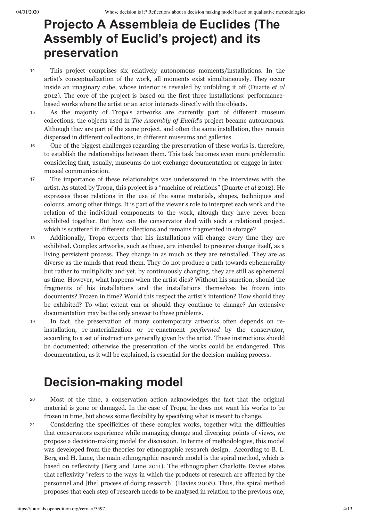## **Projecto A Assembleia de Euclides (The Assembly of Euclid's project) and its preservation**

- This project comprises six relatively autonomous moments/installations. In the artist's conceptualization of the work, all moments exist simultaneously. They occur inside an imaginary cube, whose interior is revealed by unfolding it off (Duarte *et al* 2012). The core of the project is based on the first three installations: performancebased works where the artist or an actor interacts directly with the objects. 14
- As the majority of Tropa's artworks are currently part of different museum collections, the objects used in *The Assembly of Euclid*'s project became autonomous. Although they are part of the same project, and often the same installation, they remain dispersed in different collections, in different museums and galleries. 15
- One of the biggest challenges regarding the preservation of these works is, therefore, to establish the relationships between them. This task becomes even more problematic considering that, usually, museums do not exchange documentation or engage in intermuseal communication. 16
- The importance of these relationships was underscored in the interviews with the artist. As stated by Tropa, this project is a "machine of relations" (Duarte *et al* 2012). He expresses those relations in the use of the same materials, shapes, techniques and colours, among other things. It is part of the viewer's role to interpret each work and the relation of the individual components to the work, altough they have never been exhibited together. But how can the conservator deal with such a relational project, which is scattered in different collections and remains fragmented in storage? 17
- Additionally, Tropa expects that his installations will change every time they are exhibited. Complex artworks, such as these, are intended to preserve change itself, as a living persistent process. They change in as much as they are reinstalled. They are as diverse as the minds that read them. They do not produce a path towards ephemerality but rather to multiplicity and yet, by continuously changing, they are still as ephemeral as time. However, what happens when the artist dies? Without his sanction, should the fragments of his installations and the installations themselves be frozen into documents? Frozen in time? Would this respect the artist's intention? How should they be exhibited? To what extent can or should they continue to change? An extensive documentation may be the only answer to these problems. 18
- In fact, the preservation of many contemporary artworks often depends on reinstallation, re-materialization or re-enactment *performed* by the conservator, according to a set of instructions generally given by the artist. These instructions should be documented; otherwise the preservation of the works could be endangered. This documentation, as it will be explained, is essential for the decision-making process. 19

## **Decision-making model**

20

Most of the time, a conservation action acknowledges the fact that the original material is gone or damaged. In the case of Tropa, he does not want his works to be frozen in time, but shows some flexibility by specifying what is meant to change.

Considering the specificities of these complex works, together with the difficulties that conservators experience while managing change and diverging points of views, we propose a decision-making model for discussion. In terms of methodologies, this model was developed from the theories for ethnographic research design. According to B. L. Berg and H. Lune, the main ethnographic research model is the spiral method, which is based on reflexivity (Berg and Lune 2011). The ethnographer Charlotte Davies states that reflexivity "refers to the ways in which the products of research are affected by the personnel and [the] process of doing research" (Davies 2008). Thus, the spiral method proposes that each step of research needs to be analysed in relation to the previous one, 21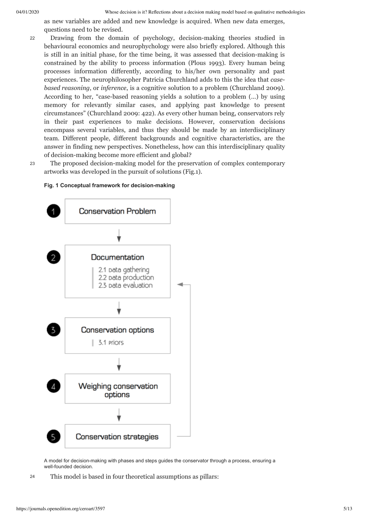04/01/2020 Whose decision is it? Reflections about a decision making model based on qualitative methodologies

as new variables are added and new knowledge is acquired. When new data emerges, questions need to be revised.

Drawing from the domain of psychology, decision-making theories studied in behavioural economics and neurophychology were also briefly explored. Although this is still in an initial phase, for the time being, it was assessed that decision-making is constrained by the ability to process information (Plous 1993). Every human being processes information differently, according to his/her own personality and past experiences. The neurophilosopher Patricia Churchland adds to this the idea that *casebased reasoning*, or *inference*, is a cognitive solution to a problem (Churchland 2009). According to her, "case-based reasoning yields a solution to a problem (…) by using memory for relevantly similar cases, and applying past knowledge to present circumstances" (Churchland 2009: 422). As every other human being, conservators rely in their past experiences to make decisions. However, conservation decisions encompass several variables, and thus they should be made by an interdisciplinary team. Different people, different backgrounds and cognitive characteristics, are the answer in finding new perspectives. Nonetheless, how can this interdisciplinary quality of decision-making become more efficient and global? 22

23

The proposed decision-making model for the preservation of complex contemporary artworks was developed in the pursuit of solutions (Fig.1).

#### **Fig. 1 Conceptual framework for decision-making**



A model for decision-making with phases and steps guides the conservator through a process, ensuring a well-founded decision.

<sup>24</sup> This model is based in four theoretical assumptions as pillars: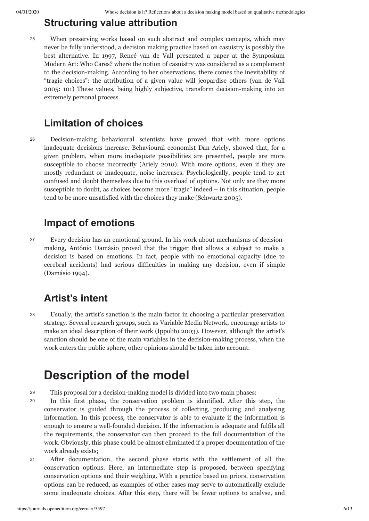## **Structuring value attribution**

When preserving works based on such abstract and complex concepts, which may never be fully understood, a decision making practice based on casuistry is possibly the best alternative. In 1997, Reneé van de Vall presented a paper at the Symposium Modern Art: Who Cares? where the notion of casuistry was considered as a complement to the decision-making. According to her observations, there comes the inevitability of "tragic choices": the attribution of a given value will jeopardise others (van de Vall 2005: 101) These values, being highly subjective, transform decision-making into an extremely personal process 25

## **Limitation of choices**

Decision-making behavioural scientists have proved that with more options inadequate decisions increase. Behavioural economist Dan Ariely, showed that, for a given problem, when more inadequate possibilities are presented, people are more susceptible to choose incorrectly (Ariely 2010). With more options, even if they are mostly redundant or inadequate, noise increases. Psychologically, people tend to get confused and doubt themselves due to this overload of options. Not only are they more susceptible to doubt, as choices become more "tragic" indeed – in this situation, people tend to be more unsatisfied with the choices they make (Schwartz 2005). 26

## **Impact of emotions**

Every decision has an emotional ground. In his work about mechanisms of decisionmaking, António Damásio proved that the trigger that allows a subject to make a decision is based on emotions. In fact, people with no emotional capacity (due to cerebral accidents) had serious difficulties in making any decision, even if simple (Damásio 1994). 27

## **Artist's intent**

Usually, the artist's sanction is the main factor in choosing a particular preservation strategy. Several research groups, such as Variable Media Network, encourage artists to make an ideal description of their work (Ippolito 2003). However, although the artist's sanction should be one of the main variables in the decision-making process, when the work enters the public sphere, other opinions should be taken into account. 28

## **Description of the model**

- <sup>29</sup> This proposal for a decision-making model is divided into two main phases:
- In this first phase, the conservation problem is identified. After this step, the conservator is guided through the process of collecting, producing and analysing information. In this process, the conservator is able to evaluate if the information is enough to ensure a well-founded decision. If the information is adequate and fulfils all the requirements, the conservator can then proceed to the full documentation of the work. Obviously, this phase could be almost eliminated if a proper documentation of the work already exists; 30
- After documentation, the second phase starts with the settlement of all the conservation options. Here, an intermediate step is proposed, between specifying conservation options and their weighing. With a practice based on priors, conservation options can be reduced, as examples of other cases may serve to automatically exclude some inadequate choices. After this step, there will be fewer options to analyse, and 31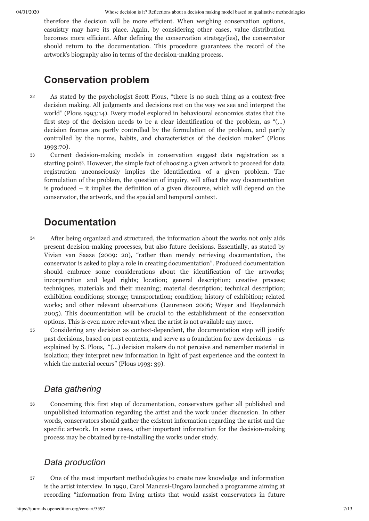therefore the decision will be more efficient. When weighing conservation options, casuistry may have its place. Again, by considering other cases, value distribution becomes more efficient. After defining the conservation strategy(ies), the conservator should return to the documentation. This procedure guarantees the record of the artwork's biography also in terms of the decision-making process.

## **Conservation problem**

As stated by the psychologist Scott Plous, "there is no such thing as a context-free decision making. All judgments and decisions rest on the way we see and interpret the world" (Plous 1993:14). Every model explored in behavioural economics states that the first step of the decision needs to be a clear identification of the problem, as "(…) decision frames are partly controlled by the formulation of the problem, and partly controlled by the norms, habits, and characteristics of the decision maker" (Plous 1993:70). 32

<span id="page-6-0"></span>Current decision-making models in conservation suggest data registration as a starting point [3](#page-11-2) . However, the simple fact of choosing a given artwork to proceed for data registration unconsciously implies the identification of a given problem. The formulation of the problem, the question of inquiry, will affect the way documentation is produced – it implies the definition of a given discourse, which will depend on the conservator, the artwork, and the spacial and temporal context. 33

## **Documentation**

After being organized and structured, the information about the works not only aids present decision-making processes, but also future decisions. Essentially, as stated by Vivian van Saaze (2009: 20), "rather than merely retrieving documentation, the conservator is asked to play a role in creating documentation". Produced documentation should embrace some considerations about the identification of the artworks; incorporation and legal rights; location; general description; creative process; techniques, materials and their meaning; material description; technical description; exhibition conditions; storage; transportation; condition; history of exhibition; related works; and other relevant observations (Laurenson 2006; Weyer and Heydenreich 2005). This documentation will be crucial to the establishment of the conservation options. This is even more relevant when the artist is not available any more. 34

35

Considering any decision as context-dependent, the documentation step will justify past decisions, based on past contexts, and serve as a foundation for new decisions – as explained by S. Plous, "(…) decision makers do not perceive and remember material in isolation; they interpret new information in light of past experience and the context in which the material occurs" (Plous 1993: 39).

## *Data gathering*

- 36
- Concerning this first step of documentation, conservators gather all published and unpublished information regarding the artist and the work under discussion. In other words, conservators should gather the existent information regarding the artist and the specific artwork. In some cases, other important information for the decision-making process may be obtained by re-installing the works under study.

## *Data production*

One of the most important methodologies to create new knowledge and information is the artist interview. In 1990, Carol Mancusi-Ungaro launched a programme aiming at recording "information from living artists that would assist conservators in future 37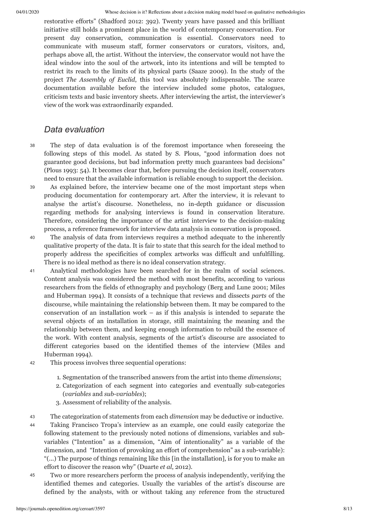restorative efforts" (Shadford 2012: 392). Twenty years have passed and this brilliant initiative still holds a prominent place in the world of contemporary conservation. For present day conservation, communication is essential. Conservators need to communicate with museum staff, former conservators or curators, visitors, and, perhaps above all, the artist. Without the interview, the conservator would not have the ideal window into the soul of the artwork, into its intentions and will be tempted to restrict its reach to the limits of its physical parts (Saaze 2009). In the study of the project *The Assembly of Euclid*, this tool was absolutely indispensable. The scarce documentation available before the interview included some photos, catalogues, criticism texts and basic inventory sheets. After interviewing the artist, the interviewer's view of the work was extraordinarily expanded.

## *Data evaluation*

- The step of data evaluation is of the foremost importance when foreseeing the following steps of this model. As stated by S. Plous, "good information does not guarantee good decisions, but bad information pretty much guarantees bad decisions" (Plous 1993: 54). It becomes clear that, before pursuing the decision itself, conservators need to ensure that the available information is reliable enough to support the decision. 38
- As explained before, the interview became one of the most important steps when producing documentation for contemporary art. After the interview, it is relevant to analyse the artist's discourse. Nonetheless, no in-depth guidance or discussion regarding methods for analysing interviews is found in conservation literature. Therefore, considering the importance of the artist interview to the decision-making process, a reference framework for interview data analysis in conservation is proposed. 39
- The analysis of data from interviews requires a method adequate to the inherently qualitative property of the data. It is fair to state that this search for the ideal method to properly address the specificities of complex artworks was difficult and unfulfilling. There is no ideal method as there is no ideal conservation strategy. 40
- Analytical methodologies have been searched for in the realm of social sciences. Content analysis was considered the method with most benefits, according to various researchers from the fields of ethnography and psychology (Berg and Lune 2001; Miles and Huberman 1994). It consists of a technique that reviews and dissects *parts* of the discourse, while maintaining the relationship between them. It may be compared to the conservation of an installation work  $-$  as if this analysis is intended to separate the several objects of an installation in storage, still maintaining the meaning and the relationship between them, and keeping enough information to rebuild the essence of the work. With content analysis, segments of the artist's discourse are associated to different categories based on the identified themes of the interview (Miles and Huberman 1994). 41
- <sup>42</sup> This process involves three sequential operations:
	- 1. Segmentation of the transcribed answers from the artist into theme *dimensions*;
	- 2. Categorization of each segment into categories and eventually sub-categories (*variables* and *sub-variables*);
	- 3. Assessment of reliability of the analysis.
- <sup>43</sup> The categorization of statements from each *dimension* may be deductive or inductive.
- Taking Francisco Tropa's interview as an example, one could easily categorize the following statement to the previously noted notions of dimensions, variables and subvariables ("Intention" as a dimension, "Aim of intentionality" as a variable of the dimension, and "Intention of provoking an effort of comprehension" as a sub-variable): "(...) The purpose of things remaining like this [in the installation], is for you to make an effort to discover the reason why" (Duarte *et al*, 2012). 44
- Two or more researchers perform the process of analysis independently, verifying the identified themes and categories. Usually the variables of the artist's discourse are defined by the analysts, with or without taking any reference from the structured 45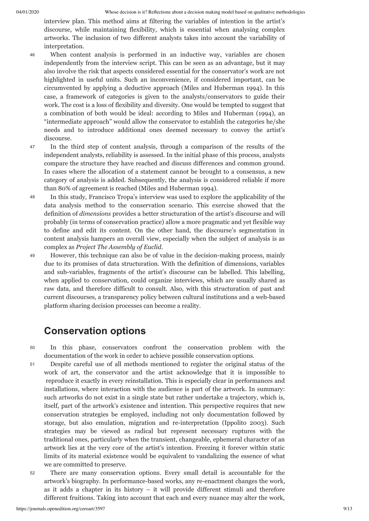interview plan. This method aims at filtering the variables of intention in the artist's discourse, while maintaining flexibility, which is essential when analysing complex artworks. The inclusion of two different analysts takes into account the variability of interpretation.

- When content analysis is performed in an inductive way, variables are chosen independently from the interview script. This can be seen as an advantage, but it may also involve the risk that aspects considered essential for the conservator's work are not highlighted in useful units. Such an inconvenience, if considered important, can be circumvented by applying a deductive approach (Miles and Huberman 1994). In this case, a framework of categories is given to the analysts/conservators to guide their work. The cost is a loss of flexibility and diversity. One would be tempted to suggest that a combination of both would be ideal: according to Miles and Huberman (1994), an "intermediate approach" would allow the conservator to establish the categories he/she needs and to introduce additional ones deemed necessary to convey the artist's discourse. 46
- In the third step of content analysis, through a comparison of the results of the independent analysts, reliability is assessed. In the initial phase of this process, analysts compare the structure they have reached and discuss differences and common ground. In cases where the allocation of a statement cannot be brought to a consensus, a new category of analysis is added. Subsequently, the analysis is considered reliable if more than 80% of agreement is reached (Miles and Huberman 1994). 47
- In this study, Francisco Tropa's interview was used to explore the applicability of the data analysis method to the conservation scenario. This exercise showed that the definition of *dimensions* provides a better structuration of the artist's discourse and will probably (in terms of conservation practice) allow a more pragmatic and yet flexible way to define and edit its content. On the other hand, the discourse's segmentation in content analysis hampers an overall view, especially when the subject of analysis is as complex as *Project The Assembly of Euclid*. 48
- However, this technique can also be of value in the decision-making process, mainly due to its promises of data structuration. With the definition of dimensions, variables and sub-variables, fragments of the artist's discourse can be labelled. This labelling, when applied to conservation, could organize interviews, which are usually shared as raw data, and therefore difficult to consult. Also, with this structuration of past and current discourses, a transparency policy between cultural institutions and a web-based platform sharing decision processes can become a reality. 49

## **Conservation options**

- In this phase, conservators confront the conservation problem with the documentation of the work in order to achieve possible conservation options. 50
- Despite careful use of all methods mentioned to register the original status of the work of art, the conservator and the artist acknowledge that it is impossible to reproduce it exactly in every reinstallation. This is especially clear in performances and installations, where interaction with the audience is part of the artwork. In summary: such artworks do not exist in a single state but rather undertake a trajectory, which is, itself, part of the artwork's existence and intention. This perspective requires that new conservation strategies be employed, including not only documentation followed by storage, but also emulation, migration and re-interpretation (Ippolito 2003). Such strategies may be viewed as radical but represent necessary ruptures with the traditional ones, particularly when the transient, changeable, ephemeral character of an artwork lies at the very core of the artist's intention. Freezing it forever within static limits of its material existence would be equivalent to vandalizing the essence of what we are committed to preserve. 51
- There are many conservation options. Every small detail is accountable for the artwork's biography. In performance-based works, any re-enactment changes the work, as it adds a chapter in its history – it will provide different stimuli and therefore different fruitions. Taking into account that each and every nuance may alter the work, 52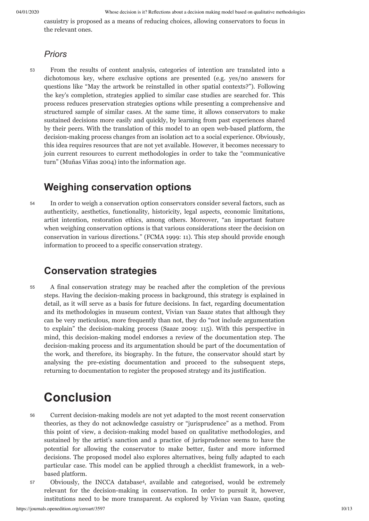casuistry is proposed as a means of reducing choices, allowing conservators to focus in the relevant ones.

#### *Priors*

From the results of content analysis, categories of intention are translated into a dichotomous key, where exclusive options are presented (e.g. yes/no answers for questions like "May the artwork be reinstalled in other spatial contexts?"). Following the key's completion, strategies applied to similar case studies are searched for. This process reduces preservation strategies options while presenting a comprehensive and structured sample of similar cases. At the same time, it allows conservators to make sustained decisions more easily and quickly, by learning from past experiences shared by their peers. With the translation of this model to an open web-based platform, the decision-making process changes from an isolation act to a social experience. Obviously, this idea requires resources that are not yet available. However, it becomes necessary to join current resources to current methodologies in order to take the "communicative turn" (Muñas Viñas 2004) into the information age. 53

## **Weighing conservation options**

In order to weigh a conservation option conservators consider several factors, such as authenticity, aesthetics, functionality, historicity, legal aspects, economic limitations, artist intention, restoration ethics, among others. Moreover, "an important feature when weighing conservation options is that various considerations steer the decision on conservation in various directions." (FCMA 1999: 11). This step should provide enough information to proceed to a specific conservation strategy. 54

## **Conservation strategies**

A final conservation strategy may be reached after the completion of the previous steps. Having the decision-making process in background, this strategy is explained in detail, as it will serve as a basis for future decisions. In fact, regarding documentation and its methodologies in museum context, Vivian van Saaze states that although they can be very meticulous, more frequently than not, they do "not include argumentation to explain" the decision-making process (Saaze 2009: 115). With this perspective in mind, this decision-making model endorses a review of the documentation step. The decision-making process and its argumentation should be part of the documentation of the work, and therefore, its biography. In the future, the conservator should start by analysing the pre-existing documentation and proceed to the subsequent steps, returning to documentation to register the proposed strategy and its justification. 55

## **Conclusion**

- Current decision-making models are not yet adapted to the most recent conservation theories, as they do not acknowledge casuistry or "jurisprudence" as a method. From this point of view, a decision-making model based on qualitative methodologies, and sustained by the artist's sanction and a practice of jurisprudence seems to have the potential for allowing the conservator to make better, faster and more informed decisions. The proposed model also explores alternatives, being fully adapted to each particular case. This model can be applied through a checklist framework, in a webbased platform. 56
- <span id="page-9-0"></span>Obviously, the INCCA database [4](#page-11-3) , available and categorised, would be extremely relevant for the decision-making in conservation. In order to pursuit it, however, institutions need to be more transparent. As explored by Vivian van Saaze, quoting 57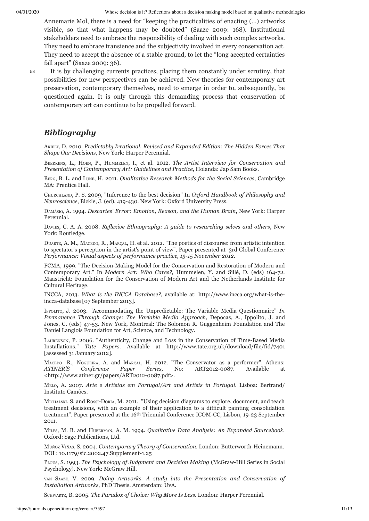Annemarie Mol, there is a need for "keeping the practicalities of enacting (…) artworks visible, so that what happens may be doubted" (Saaze 2009: 168). Institutional stakeholders need to embrace the responsibility of dealing with such complex artworks. They need to embrace transience and the subjectivity involved in every conservation act. They need to accept the absence of a stable ground, to let the "long accepted certainties fall apart" (Saaze 2009: 36).

58

It is by challenging currents practices, placing them constantly under scrutiny, that possibilities for new perspectives can be achieved. New theories for contemporary art preservation, contemporary themselves, need to emerge in order to, subsequently, be questioned again. It is only through this demanding process that conservation of contemporary art can continue to be propelled forward.

## *Bibliography*

ARIELY, D. 2010. *Predictably Irrational, Revised and Expanded Edition: The Hidden Forces That Shape Our Decisions*, New York: Harper Perennial.

BEERKENS, L., HOEN, P., HUMMELEN, I., et al. 2012. *The Artist Interview for Conservation and Presentation of Contemporary Art: Guidelines and Practice*, Holanda: Jap Sam Books.

BERG, B. L. and LUNE, H. 2011. *Qualitative Research Methods for the Social Sciences*, Cambridge MA: Prentice Hall.

CHURCHLAND, P. S. 2009, "Inference to the best decision" In *Oxford Handbook of Philosophy and Neuroscience*, Bickle, J. (ed), 419-430. New York: Oxford University Press.

DAMÁSIO, A. 1994. *Descartes' Error: Emotion, Reason, and the Human Brain*, New York: Harper Perennial.

DAVIES, C. A. A. 2008. *Reflexive Ethnography: A guide to researching selves and others*, New York: Routledge.

DUARTE, A. M., MACEDO, R., MARÇAL, H. et al. 2012. "The poetics of discourse: from artistic intention to spectator's perception in the artist's point of view", Paper presented at 3rd Global Conference *Performance: Visual aspects of performance practice, 13-15 November 2012*.

FCMA, 1999. "The Decision-Making Model for the Conservation and Restoration of Modern and Contemporary Art." In *Modern Art: Who Cares?,* Hummelen, Y. and Sillé, D. (eds) 164-72. Maastricht: Foundation for the Conservation of Modern Art and the Netherlands Institute for Cultural Heritage.

INCCA, 2013. *What is the INCCA Database?,* [available at: http://www.incca.org/what-is-the](http://www.incca.org/what-is-the-incca-database)incca-database [07 September 2013].

IPPOLITO, J. 2003. "Accommodating the Unpredictable: The Variable Media Questionnaire" *In Permanence Through Change: The Variable Media Approach*, Depocas, A., Ippolito, J. and Jones, C. (eds) 47-53. New York, Montreal: The Solomon R. Guggenheim Foundation and The Daniel Langlois Foundation for Art, Science, and Technology.

LAURENSON, P. 2006. "Authenticity, Change and Loss in the Conservation of Time-Based Media Installations." *Tate Papers.* Available at http://www.tate.org.uk/download/file/fid/7401 [assessed 31 January 2012].

MACEDO, R., NOGUEIRA, A. and MARÇAL, H. 2012. "The Conservator as a performer". Athens: *ATINER'S Conference Paper Series*, No: ART2012-0087. Available at <http://www.atiner.gr/papers/ART2012-0087.pdf>.

MELO, A. 2007. *Arte e Artistas em Portugal/Art and Artists in Portugal.* Lisboa: Bertrand/ Instituto Camões.

MICHALSKI, S. and ROSSI-DORIA, M. 2011. "Using decision diagrams to explore, document, and teach treatment decisions, with an example of their application to a difficult painting consolidation treatment". Paper presented at the 16th Triennial Conference ICOM-CC, Lisbon, 19-23 September 2011.

MILES, M. B. and HUBERMAN, A. M. 1994. *Qualitative Data Analysis: An Expanded Sourcebook.* Oxford: Sage Publications, Ltd.

MUÑOZ VIÑAS, S. 2004. *Contemporary Theory of Conservation.* London: Butterworth-Heinemann. DOI : [10.1179/sic.2002.47.Supplement-1.25](http://dx.doi.org/10.1179/sic.2002.47.Supplement-1.25)

PLOUS, S. 1993. *The Psychology of Judgment and Decision Making* (McGraw-Hill Series in Social Psychology). New York: McGraw Hill.

VAN SAAZE, V. 2009. *Doing Artworks. A study into the Presentation and Conservation of Installation Artworks*, PhD Thesis. Amsterdam: UvA.

SCHWARTZ, B. 2005. *The Paradox of Choice: Why More Is Less.* London: Harper Perennial.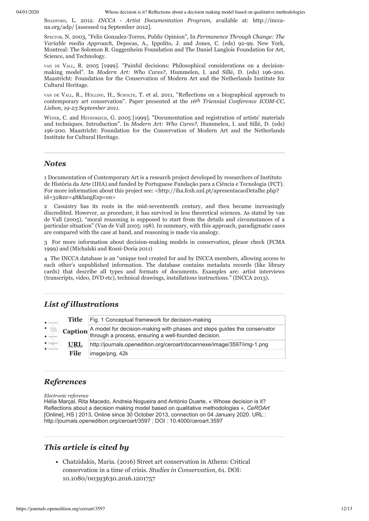04/01/2020 Whose decision is it? Reflections about a decision making model based on qualitative methodologies

SHADFORD, L. 2012. *[INCCA - Artist Documentation Program,](http://incca-na.org/adp/)* available at: http://inccana.org/adp/ [assessed 04 September 2012].

SPECTOR, N. 2003, "Felix Gonzalez-Torres, Public Opinion", In *Permanence Through Change: The Variable media Approach*, Depocas, A., Ippolito, J. and Jones, C. (eds) 92-99. New York, Montreal: The Solomon R. Guggenheim Foundation and The Daniel Langlois Foundation for Art, Science, and Technology.

VAN DE VALL, R. 2005 [1999]. "Painful decisions: Philosophical considerations on a decisionmaking model". In *Modern Art: Who Cares?,* Hummelen, I. and Sillé, D. (eds) 196-200. Maastricht: Foundation for the Conservation of Modern Art and the Netherlands Institute for Cultural Heritage.

VAN DE VALL, R., HÖLLING, H., SCHOLTE, T. et al. 2011, "Reflections on a biographical approach to contemporary art conservation". Paper presented at the *16th Triennial Conference ICOM-CC, Lisbon, 19-23 September 2011*.

WEYER, C. and HEYENREICH, G. 2005 [1999]. "Documentation and registration of artists' materials and techniques. Introduction". In *Modern Art: Who Cares?,* Hummelen, I. and Sillé, D. (eds) 196-200. Maastricht: Foundation for the Conservation of Modern Art and the Netherlands Institute for Cultural Heritage.

#### *Notes*

<span id="page-11-0"></span>[1](#page-1-0) Documentation of Contemporary Art is a research project developed by researchers of Instituto de História da Arte (IHA) and funded by Portuguese Fundação para a Ciência e Tecnologia (FCT). For more information about this project see: <http://iha.fcsh.unl.pt/apresentacaoDetalhe.php? id=32&nr=48&langExp=en>

<span id="page-11-1"></span>[2](#page-1-1) Casuistry has its roots in the mid-seventeenth century, and then became increasingly discredited. However, as procedure, it has survived in less theoretical sciences. As stated by van de Vall (2005), "moral reasoning is supposed to start from the details and circumstances of a particular situation" (Van de Vall 2005: 198). In summary, with this approach, paradigmatic cases are compared with the case at hand, and reasoning is made via analogy.

<span id="page-11-2"></span>[3](#page-6-0) For more information about decision-making models in conservation, please check (FCMA 1999) and (Michalski and Rossi-Doria 2011)

<span id="page-11-3"></span>[4](#page-9-0) The INCCA database is an "unique tool created for and by INCCA members, allowing access to each other's unpublished information. The database contains metadata records (like library cards) that describe all types and formats of documents. Examples are: artist interviews (transcripts, video, DVD etc), technical drawings, installations instructions." (INCCA 2013).

## *List of illustrations*

| $\bullet$ -------                | Title       | Fig. 1 Conceptual framework for decision-making                                                                                                               |
|----------------------------------|-------------|---------------------------------------------------------------------------------------------------------------------------------------------------------------|
|                                  |             | <b>Caption</b> $\left  A \right $ model for decision-making with phases and steps guides the conservator through a process, ensuring a well-founded decision. |
| $\bullet$ maps<br>$\blacksquare$ | <u>URL</u>  | http://journals.openedition.org/ceroart/docannexe/image/3597/img-1.png                                                                                        |
|                                  | <b>File</b> | image/png, 42k                                                                                                                                                |

## *References*

*Electronic reference*

Hélia Marçal, Rita Macedo, Andreia Nogueira and António Duarte, « Whose decision is it? Reflections about a decision making model based on qualitative methodologies », *CeROArt* [Online], HS | 2013, Online since 30 October 2013, connection on 04 January 2020. URL : http://journals.openedition.org/ceroart/3597 ; DOI : 10.4000/ceroart.3597

### *This article is cited by*

Chatzidakis, Maria. (2016) Street art conservation in Athens: Critical conservation in a time of crisis. *Studies in Conservation*, 61. DOI: [10.1080/00393630.2016.1201757](https://dx.doi.org/10.1080/00393630.2016.1201757)